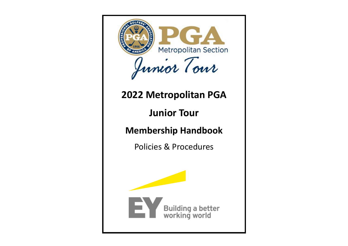

# **2022 Metropolitan PGA**

**Junior Tour**

**Membership Handbook**

Policies & Procedures

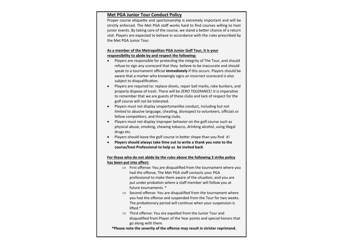# **Met PGA Junior Tour Conduct Policy**

Proper course etiquette and sportsmanship is extremely important and will be strictly enforced. The Met PGA staff works hard to find courses willing to host junior events. By taking care of the course, we stand a better chance of a return visit. Players are expected to behave in accordance with the rules prescribed by the Met PGA Junior Tour.

# **As a member of the Metropolitan PGA Junior Golf Tour, it is your responsibility to abide by and respect the following:**

- Players are responsible for protecting the integrity of The Tour, and should refuse to sign any scorecard that they believe to be inaccurate and should speak to a tournament official **immediately** if this occurs. Players should be aware that a marker who knowingly signs an incorrect scorecard is also subject to disqualification.
- Players are required to: replace divots, repair ball marks, rake bunkers, and properly dispose of trash. There will be ZERO TOLERANCE! It is imperative to remember that we are guests of these clubs and lack of respect for the golf course will not be tolerated.
- Players must not display unsportsmanlike conduct, including but not limited to abusive language, cheating, disrespect to volunteers, officials or fellow competitors, and throwing clubs.
- Players must not display improper behavior on the golf course such as physical abuse, smoking, chewing tobacco, drinking alcohol, using illegal drugs etc.
- Players should leave the golf course in better shape than you find it!
- **Players should always take time out to write a thank you note to the course/host Professional to help us be invited back**

# **For those who do not abide by the rules above the following 3 strike policy has been put into affect:**

- $\Rightarrow$  First offense: You are disqualified from the tournament where you had the offense, The Met PGA staff contacts your PGA professional to make them aware of the situation, and you are put under probation where a staff member will follow you at future tournaments. \*
- $\Rightarrow$  Second offense: You are disqualified from the tournament where you had the offense and suspended from the Tour for two weeks. The probationary period will continue when your suspension is lifted.\*
- $\Rightarrow$  Third offense: You are expelled from the Junior Tour and disqualified from Player of the Year points and special honors that go along with them.

**\*Please note the severity of the offense may result in stricter reprimand.**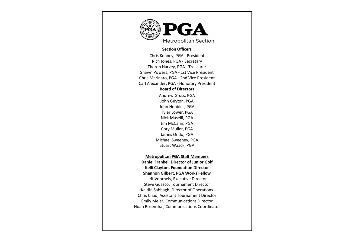

#### **Section Officers**

Chris Kenney, PGA - President Rich Jones, PGA - Secretary Theron Harvey, PGA - Treasurer Shawn Powers, PGA - 1st Vice President Chris Marinaro, PGA - 2nd Vice President Carl Alexander, PGA - Honorary President

# **Board of Directors**

Andrew Gruss, PGA John Guyton, PGA John Hobbins, PGA Tyler Lower, PGA Nick Maselli, PGA Jim McCann, PGA Cory Muller, PGA James Ondo, PGA Michael Sweeney, PGA Stuart Waack, PGA

# **Metropolitan PGA Staff Members**

**Daniel Frankel, Director of Junior Golf Kelli Clayton, Foundation Director Shannon Gilbert, PGA Works Fellow** Jeff Voorheis, Executive Director Steve Guasco, Tournament Director Kaitlin Sabbagh, Director of Operations Chris Chao, Assistant Tournament Director Emily Meier, Communications Director Noah Rosenthal, Communications Coordinator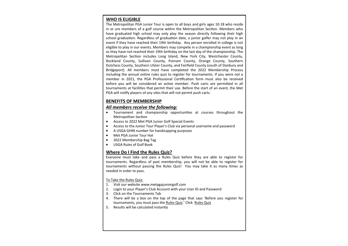# **WHO IS ELIGIBLE**

The Metropolitan PGA Junior Tour is open to all boys and girls ages 10-18 who reside in or are members of a golf course within the Metropolitan Section. Members who have graduated high school may only play the season directly following their high school graduation. Regardless of graduation date, a junior golfer may not play in an event if they have reached their 19th birthday. Any person enrolled in college is not eligible to play in our events. Members may compete in a championship event as long as they have not reached their 19th birthday on the last day of the championship. The Metropolitan Section includes Long Island, New York City, Westchester County, Rockland County, Sullivan County, Putnam County, Orange County, Southern Dutchess County, Southern Ulster County, and Fairfield County (south of Danbury and Bridgeport). All members must have completed the 2022 Membership Process including the annual online rules quiz to register for tournaments. If you were not a member in 2021, the PGA Professional Certification form must also be received before you will be considered an active member. Push carts are permitted in all tournaments at facilities that permit their use. Before the start of an event, the Met PGA will notify players of any sites that will not permit push carts.

# **BENEFITS OF MEMBERSHIP**

#### *All members receive the following:*

- Tournament and championship opportunities at courses throughout the Metropolitan Section
- Access to 2022 Met PGA Junior Golf Special Events
- Access to the Junior Tour Player's Club via personal username and password
- A USGA GHIN number for handicapping purposes
- Met PGA Junior Tour Hat
- 2022 Membership Bag Tag
- USGA Rules of Golf Book

# **Where Do I Find the Rules Quiz?**

Everyone must take and pass a Rules Quiz before they are able to register for tournaments. Regardless of past membership, you will not be able to register for tournaments without passing the Rules Quiz! You may take it as many times as needed in order to pass.

#### To Take the Rules Quiz:

- 1. Visit our website www.metpgajuniorgolf.com
- 2. Login to your Player's Club Account with your User ID and Password
- 3. Click on the Tournaments Tab
- 4. There will be a box on the top of the page that says 'Before you register for tournaments, you must pass the Rules Quiz.' Click Rules Quiz
- 5. Results will be calculated instantly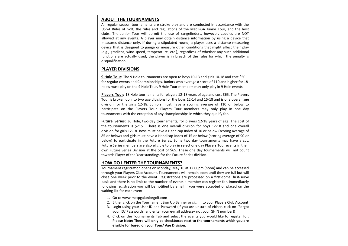#### **ABOUT THE TOURNAMENTS**

All regular season tournaments are stroke play and are conducted in accordance with the USGA Rules of Golf, the rules and regulations of the Met PGA Junior Tour, and the host clubs. The Junior Tour will permit the use of rangefinders, however, caddies are NOT allowed at any events. A player may obtain distance information by using a device that measures distance only. If during a stipulated round, a player uses a distance-measuring device that is designed to gauge or measure other conditions that might affect their play (e.g., gradient, wind-speed, temperature, etc.), regardless of whether any such additional functions are actually used, the player is in breach of the rules for which the penalty is disqualification.

#### **PLAYER DIVISIONS**

**9 Hole Tour:** The 9 Hole tournaments are open to boys 10-13 and girls 10-18 and cost \$50 for regular events and Championships. Juniors who average a score of 110 and higher for 18 holes must play on the 9 Hole Tour. 9 Hole Tour members may only play in 9 Hole events.

**Players Tour:** 18 Hole tournaments for players 12-18 years of age and cost \$65. The Players Tour is broken up into two age divisions for the boys 12-14 and 15-18 and is one overall age division for the girls 12-18. Juniors must have a scoring average of 110 or below to participate on the Players Tour. Players Tour members may only play in one day tournaments with the exception of any championships in which they qualify for.

**Future Series:** 36 Hole, two-day tournaments, for players 12-18 years of age. The cost of the tournaments is \$215. There is one overall division for boys 12-18 and one overall division for girls 12-18. Boys must have a Handicap Index of 10 or below (scoring average of 85 or below) and girls must have a Handicap Index of 15 or below (scoring average of 90 or below) to participate in the Future Series. Some two day tournaments may have a cut. Future Series members are also eligible to play in select one day Players Tour events in their own Future Series Division at the cost of \$65. These one day tournaments will not count towards Player of the Year standings for the Future Series division.

#### **HOW DO I ENTER THE TOURNAMENTS?**

Tournament registration opens on Monday, May 16 at 12:00pm (noon) and can be accessed through your Players Club Account. Tournaments will remain open until they are full but will close one week prior to the event. Registrations are processed on a first-come, first-serve basis and there is no limit to the number of events a member can register for. Immediately following registration you will be notified by email if you were accepted or placed on the waiting list for each event.

- 1. Go to www.metpgajuniorgolf.com
- 2. Either click on the Tournament Sign Up Banner or sign into your Players Club Account
- 3. Login using your User ID and Password (if you are unsure of either, click on 'Forgot your ID/ Password?' and enter your e-mail address– not your GHIN number!)
- 4. Click on the Tournaments Tab and select the events you would like to register for. **Please Note: There will only be checkboxes next to the tournaments which you are eligible for based on your Tour/ Age Division.**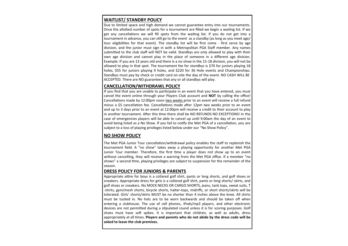# **WAITLIST/ STANDBY POLICY**

Due to limited space and high demand we cannot guarantee entry into our tournaments. Once the allotted number of spots for a tournament are filled we begin a waiting list. If we get any cancellations we will fill spots from the waiting list. If you do not get into a tournament in advance, you can still go to the event as a standby (as long as you meet age/ tour eligibilities for that event). The standby list will be first come - first serve by age division, and the junior must sign in with a Metropolitan PGA Staff member. Any names submitted to the club staff will NOT be valid. Standbys are only allowed to play with their own age division and cannot play in the place of someone in a different age division. Example: If you are 13 years old and there is a no show in the 15-18 division, you will not be allowed to play in that spot. The tournament fee for standbys is \$70 for juniors playing 18 holes, \$55 for juniors playing 9 holes, and \$220 for 36 Hole events and Championships. Standbys must pay by check or credit card on-site the day of the event. NO CASH WILL BE ACCEPTED. There are NO guarantees that any or all standbys will play.

#### **CANCELLATION/WITHDRAWL POLICY**

If you find that you are unable to participate in an event that you have entered, you must cancel the event online through your Players Club account and **NOT** by calling the office! Cancellations made by 12:00pm noon two weeks prior to an event will receive a full refund minus a \$5 cancellation fee. Cancellations made after 12pm two weeks prior to an event and up to 3 days prior to an event at 12:00pm will receive a credit to their account to play in another tournament. After this time there shall be NO REFUNDS NO EXCEPTIONS! In the case of emergencies players will be able to cancel up until 9:00am the day of an event to avoid being listed as a No Show. If you fail to notify the Met PGA of a cancellation, you are subject to a loss of playing privileges listed below under our "No Show Policy".

# **NO SHOW POLICY**

The Met PGA Junior Tour cancellation/withdrawal policy enables the staff to replenish the tournament field. A "no show" takes away a playing opportunity for another Met PGA Junior Tour member. Therefore, the first time a player does not show up to an event without cancelling, they will receive a warning from the Met PGA office. If a member "no shows" a second time, playing privileges are subject to suspension for the remainder of the season.

# **DRESS POLICY FOR JUNIORS & PARENTS**

Appropriate attire for boys is a collared golf shirt, pants or long shorts, and golf shoes or sneakers. Appropriate dress for girls is a collared golf shirt, pants or long shorts/ skirts, and golf shoes or sneakers. No MOCK NECKS OR CARGO SHORTS, jeans, tank tops, sweat suits, T -shirts, gym/mesh shorts, bicycle shorts, halter-tops, midriffs, or short shorts/skirts will be tolerated. Girls' shorts/skirts MUST be no shorter than 4 inches above the knee. All shirts must be tucked in. No hats are to be worn backwards and should be taken off when entering a clubhouse. The use of cell phones, iPods/mp3 players, and other electronic devices are not permitted during a stipulated round unless it is for scoring purposes. Golf shoes must have soft spikes. It is important that children, as well as adults, dress appropriately at all times. **Players and parents who do not abide by the dress code will be asked to leave the club premises.**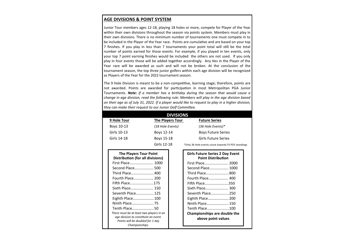# **AGE DIVISIONS & POINT SYSTEM**

Junior Tour members ages 12-18, playing 18 holes or more, compete for Player of the Year within their own divisions throughout the season via points system. Members must play in their own divisions. There is no minimum number of tournaments one must compete in to be included in the Player of the Year race. Points are cumulative and are based on your top 7 finishes. If you play in less than 7 tournaments your point total will still be the total number of points earned for those events. For example, if you played in ten events, only your top 7 point earning finishes would be included the others are not used. If you only play in four events those will be added together accordingly. Any ties in the Player of the Year race will be awarded as such and will not be broken. At the conclusion of the tournament season, the top three junior golfers within each age division will be recognized as Players of the Year for the 2022 tournament season.

The 9 Hole Division is meant to be a non-competitive, learning stage; therefore, points are not awarded. Points are awarded for participation in most Metropolitan PGA Junior Tournaments. *Note: If a member has a birthday during the season that would cause a change in age division, read the following rule: Members will play in the age division based on their age as of July 31, 2022. If a player would like to request to play in a higher division, they can make their request to our Junior Golf Committee.*

| <b>DIVISIONS</b> |                         |                                                     |  |  |
|------------------|-------------------------|-----------------------------------------------------|--|--|
| 9 Hole Tour      | <b>The Players Tour</b> | <b>Future Series</b>                                |  |  |
| Boys 10-13       | (18 Hole Events)        | (36 Hole Events)*                                   |  |  |
| Girls 10-13      | Boys 12-14              | <b>Boys Future Series</b>                           |  |  |
| Girls 14-18      | Boys 15-18              | <b>Girls Future Series</b>                          |  |  |
|                  | Girls 12-18             | *Only 36 Hole events count towards FS POY standings |  |  |

| <b>The Players Tour Point</b><br><b>Distribution (for all divisions)</b> |  |  |  |  |
|--------------------------------------------------------------------------|--|--|--|--|
| First Place 1000                                                         |  |  |  |  |
| Second Place 500                                                         |  |  |  |  |
| Third Place400                                                           |  |  |  |  |
| Fourth Place 200                                                         |  |  |  |  |
| Fifth Place175                                                           |  |  |  |  |
| Sixth Place 150                                                          |  |  |  |  |
| Seventh Place 125                                                        |  |  |  |  |
| Eighth Place 100                                                         |  |  |  |  |
| Ninth Place 75                                                           |  |  |  |  |
| Tenth Place50                                                            |  |  |  |  |
| There must be at least two players in an                                 |  |  |  |  |
| age division to constitute an event.                                     |  |  |  |  |
|                                                                          |  |  |  |  |
| Points will be doubled for 1 day<br>Championships.                       |  |  |  |  |

| <b>Girls Future Series 2 Day Event</b><br><b>Point Distribution</b> |  |  |  |
|---------------------------------------------------------------------|--|--|--|
| First Place 2000                                                    |  |  |  |
| Second Place 1000                                                   |  |  |  |
| Third Place800                                                      |  |  |  |
| Fourth Place 400                                                    |  |  |  |
| Fifth Place350                                                      |  |  |  |
| Sixth Place 300                                                     |  |  |  |
| Seventh Place 250                                                   |  |  |  |
| Eighth Place 200                                                    |  |  |  |
| Ninth Place 150                                                     |  |  |  |
| Tenth Place100                                                      |  |  |  |
| <b>Championships are double the</b>                                 |  |  |  |
| above point values                                                  |  |  |  |
|                                                                     |  |  |  |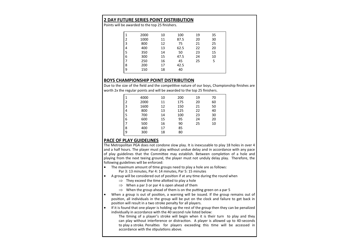#### **2 DAY FUTURE SERIES POINT DISTRIBUTION**

Points will be awarded to the top 25 finishers.

| 1 | 2000 | 10 | 100  | 19 | 35 |  |
|---|------|----|------|----|----|--|
| 2 | 1000 | 11 | 87.5 | 20 | 30 |  |
| 3 | 800  | 12 | 75   | 21 | 25 |  |
| 4 | 400  | 13 | 62.5 | 22 | 20 |  |
| 5 | 350  | 14 | 50   | 23 | 15 |  |
| 6 | 300  | 15 | 47.5 | 24 | 10 |  |
| 7 | 250  | 16 | 45   | 25 | 5  |  |
| 8 | 200  | 17 | 42.5 |    |    |  |
| 9 | 150  | 18 | 40   |    |    |  |
|   |      |    |      |    |    |  |

# **BOYS CHAMPIONSHIP POINT DISTRIBUTION**

Due to the size of the field and the competitive nature of our boys, Championship finishes are worth 2x the regular points and will be awarded to the top 25 finishers.

|   | 4000 | 10 | 200 | 19 | 70 |
|---|------|----|-----|----|----|
| 2 | 2000 | 11 | 175 | 20 | 60 |
| 3 | 1600 | 12 | 150 | 21 | 50 |
| 4 | 800  | 13 | 125 | 22 | 40 |
| 5 | 700  | 14 | 100 | 23 | 30 |
| 6 | 600  | 15 | 95  | 24 | 20 |
|   | 500  | 16 | 90  | 25 | 10 |
| 8 | 400  | 17 | 85  |    |    |
| 9 | 300  | 18 | 80  |    |    |
|   |      |    |     |    |    |

# **PACE OF PLAY GUIDELINES**

The Metropolitan PGA does not condone slow play. It is inexcusable to play 18 holes in over 4 and a half hours. The player must play without undue delay and in accordance with any pace of play guidelines that the Committee may establish. Between completion of a hole and playing from the next teeing ground, the player must not unduly delay play. Therefore, the following guidelines will be enforced:

• The maximum amount of time groups need to play a hole are as follows:

Par 3: 13 minutes, Par 4: 14 minutes, Par 5: 15 minutes

- A group will be considered out of position if at any time during the round when
	- $\Rightarrow$  They exceed the time allotted to play a hole
	- $\Rightarrow$  When a par 3 or par 4 is open ahead of them
	- $\Rightarrow$  When the group ahead of them is on the putting green on a par 5
- When a group is out of position, a warning will be issued. If the group remains out of position, all individuals in the group will be put on the clock and failure to get back in position will result in a two stroke penalty for all players.
- $\bullet$  If it is found that one player is holding up the rest of the group then they can be penalized individually in accordance with the 40 second rule listed below:

The timing of a player's stroke will begin when it is their turn to play and they can play without interference or distraction. A player is allowed up to 40-seconds to play a stroke. Penalties for players exceeding this time will be accessed in accordance with the stipulations above.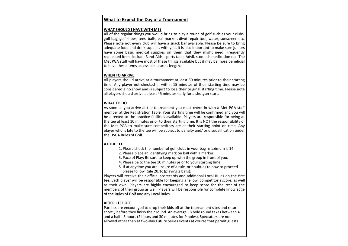#### **What to Expect the Day of a Tournament**

#### **WHAT SHOULD I HAVE WITH ME?**

All of the regular things you would bring to play a round of golf such as your clubs, golf bag, golf shoes, tees, balls, ball marker, divot repair tool, water, sunscreen etc. Please note not every club will have a snack bar available. Please be sure to bring adequate food and drink supplies with you. It is also important to make sure juniors have some basic medical supplies on them that they might need. Frequently requested items include Band-Aids, sports tape, Advil, stomach medication etc. The Met PGA staff will have most of these things available but it may be more beneficial to have these items accessible at arms length.

# **WHEN TO ARRIVE**

All players should arrive at a tournament at least 30 minutes prior to their starting time. Any player not checked in within 15 minutes of their starting time may be considered a no show and is subject to lose their original starting time. Please note all players should arrive at least 45 minutes early for a shotgun start.

#### **WHAT TO DO**

As soon as you arrive at the tournament you must check in with a Met PGA staff member at the Registration Table. Your starting time will be confirmed and you will be directed to the practice facilities available. Players are responsible for being at the tee at least 10 minutes prior to their starting time. It is NOT the responsibility of the Met PGA to make sure competitors are at their starting point on time. Any player who is late to the tee will be subject to penalty and/ or disqualification under the USGA Rules of Golf.

#### **AT THE TEE**

- 1. Please check the number of golf clubs in your bag- maximum is 14.
- 2. Please place an identifying mark on ball with a marker.
- 3. Pace of Play: Be sure to keep up with the group in front of you.
- 4. Please be to the tee 10 minutes prior to your starting time.
- 5. If at anytime you are unsure of a rule, or doubt as to how to proceed please follow Rule 20.1c (playing 2 balls).

Players will receive their official scorecards and additional Local Rules on the first tee. Each player will be responsible for keeping a fellow competitor's score, as well as their own. Players are highly encouraged to keep score for the rest of the members of their group as well. Players will be responsible for complete knowledge of the Rules of Golf and any Local Rules.

#### **AFTER I TEE OFF**

Parents are encouraged to drop their kids off at the tournament sites and return shortly before they finish their round. An average 18 hole round takes between 4 and a half - 5 hours (2 hours and 30 minutes for 9 holes). Spectators are not allowed other than at two-day Future Series events at course that permit guests.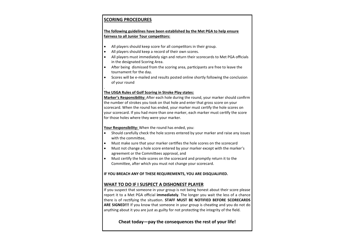# **SCORING PROCEDURES**

# **The following guidelines have been established by the Met PGA to help ensure fairness to all Junior Tour competitors:**

- All players should keep score for all competitors in their group.
- All players should keep a record of their own scores.
- All players must immediately sign and return their scorecards to Met PGA officials in the designated Scoring Area.
- After being dismissed from the scoring area, participants are free to leave the tournament for the day.
- Scores will be e-mailed and results posted online shortly following the conclusion of your round

#### . **The USGA Rules of Golf Scoring in Stroke Play states:**

**Marker's Responsibility:** After each hole during the round, your marker should confirm the number of strokes you took on that hole and enter that gross score on your scorecard. When the round has ended, your marker must certify the hole scores on your scorecard. If you had more than one marker, each marker must certify the score for those holes where they were your marker.

#### **Your Responsibility:** When the round has ended, you:

- Should carefully check the hole scores entered by your marker and raise any issues with the committee,
- Must make sure that your marker certifies the hole scores on the scorecard
- Must not change a hole score entered by your marker except with the marker's agreement or the Committees approval, and
- Must certify the hole scores on the scorecard and promptly return it to the Committee, after which you must not change your scorecard.

# **IF YOU BREACH ANY OF THESE REQUIREMENTS, YOU ARE DISQUALIFIED.**

# **WHAT TO DO IF I SUSPECT A DISHONEST PLAYER**

If you suspect that someone in your group is not being honest about their score please report it to a Met PGA official **immediately**. The longer you wait the less of a chance there is of rectifying the situation. **STAFF MUST BE NOTIFIED BEFORE SCORECARDS ARE SIGNED!!!** If you know that someone in your group is cheating and you do not do anything about it you are just as guilty for not protecting the integrity of the field.

# **Cheat today—pay the consequences the rest of your life!**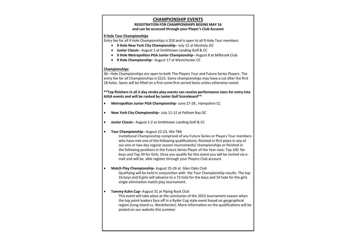#### **CHAMPIONSHIP EVENTS**

#### **REGISTRATION FOR CHAMPIONSHIPS BEGINS MAY 16 and can be accessed through your Player's Club Account**

#### **9 Hole Tour Championships**

Entry fee for all 9 Hole Championships is \$50 and is open to all 9 Hole Tour members

- **9 Hole New York City Championship** July 12 at Mosholu GC
- **Junior Classic** August 1 at Smithtown Landing Golf & CC
- **9 Hole Metropolitan PGA Junior Championship** August 8 at Milbrook Club
- **9 Hole Championship** August 17 at Westchester CC

#### **Championships**

36– Hole Championships are open to both The Players Tour and Future Series Players. The entry fee for all Championships is \$215. Some championships may have a cut after the first 18 holes. Spots will be filled on a first come first served basis unless otherwise noted.

**\*\*Top finishers in all 2-day stroke play events can receive performance stars for entry into AJGA events and will be ranked by Junior Golf Scoreboard\*\***

- **Metropolitan Junior PGA Championship-** June 27-28 , Hampshire CC
- **New York City Championship** July 11-12 at Pelham Bay GC
- **Junior Classic** August 1-2 at Smithtown Landing Golf & CC
- **Tour Championship** August 22-23, Site TBA

Invitational Championship comprised of any Future Series or Players Tour members who have met one of the following qualifications: finished in first place in any of our one or two day regular season tournaments/ championships or finished in the following positions in the Future Series Player of the Year race: Top 100 for boys and Top 30 for Girls. Once you qualify for this event you will be invited via email and will be able register through your Players Club account.

• **Match Play Championship-** August 25-26 at Glen Oaks Club

Qualifying will be held in conjunction with the Tour Championship results. The top 16 boys and 8 girls will advance to a 72 hole for the boys and 54 hole for the girls single elimination match play tournament.

• **Tommy Kuhn Cup-** August 31 at Piping Rock Club

This event will take place at the conclusion of the 2022 tournament season when the top point leaders face off in a Ryder Cup style event based on geographical region (Long Island vs. Westchester). More information on the qualifications will be posted on our website this summer.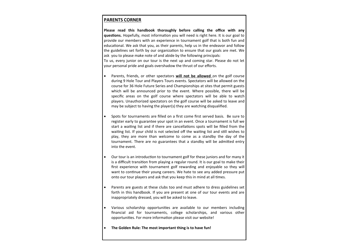#### **PARENTS CORNER**

**Please read this handbook thoroughly before calling the office with any questions.** Hopefully, most information you will need is right here. It is our goal to provide our members with an experience in tournament golf that is both fun and educational. We ask that you, as their parents, help us in the endeavor and follow the guidelines set forth by our organization to ensure that our goals are met. We ask you to please make note of and abide by the following principals: To us, every junior on our tour is the next up and coming star. Please do not let your personal pride and goals overshadow the thrust of our efforts.

- Parents, friends, or other spectators **will not be allowed** on the golf course during 9 Hole Tour and Players Tours events. Spectators will be allowed on the course for 36 Hole Future Series and Championships at sites that permit guests which will be announced prior to the event. Where possible, there will be specific areas on the golf course where spectators will be able to watch players. Unauthorized spectators on the golf course will be asked to leave and may be subject to having the player(s) they are watching disqualified.
- Spots for tournaments are filled on a first come first served basis. Be sure to register early to guarantee your spot in an event. Once a tournament is full we start a waiting list and if there are cancellations spots will be filled from the waiting list. If your child is not selected off the waiting list and still wishes to play, they are more than welcome to come as a standby the day of the tournament. There are no guarantees that a standby will be admitted entry into the event.
- Our tour is an introduction to tournament golf for these juniors and for many it is a difficult transition from playing a regular round. It is our goal to make their first experience with tournament golf rewarding and enjoyable so they will want to continue their young careers. We hate to see any added pressure put onto our tour players and ask that you keep this in mind at all times.
- Parents are guests at these clubs too and must adhere to dress guidelines set forth in this handbook. If you are present at one of our tour events and are inappropriately dressed, you will be asked to leave.
- Various scholarship opportunities are available to our members including financial aid for tournaments, college scholarships, and various other opportunities. For more information please visit our website!
- **The Golden Rule: The most important thing is to have fun!**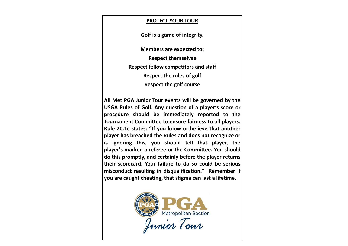# **PROTECT YOUR TOUR**

**Golf is a game of integrity.** 

**Members are expected to:**

**Respect themselves**

**Respect fellow competitors and staff** 

**Respect the rules of golf**

**Respect the golf course**

**All Met PGA Junior Tour events will be governed by the USGA Rules of Golf. Any question of a player's score or procedure should be immediately reported to the Tournament Committee to ensure fairness to all players. Rule 20.1c states: "If you know or believe that another player has breached the Rules and does not recognize or is ignoring this, you should tell that player, the player's [marker,](http://www.usga.org/content/usga/home-page/rules/rules-2019/players-edition/definitions.html#marker) a [referee](http://www.usga.org/content/usga/home-page/rules/rules-2019/players-edition/definitions.html#referee) or the Committee. You should do this promptly, and certainly before the player returns their [scorecard.](http://www.usga.org/content/usga/home-page/rules/rules-2019/players-edition/definitions.html#scorecard) Your failure to do so could be serious misconduct resulting in disqualification." Remember if you are caught cheating, that stigma can last a lifetime.**